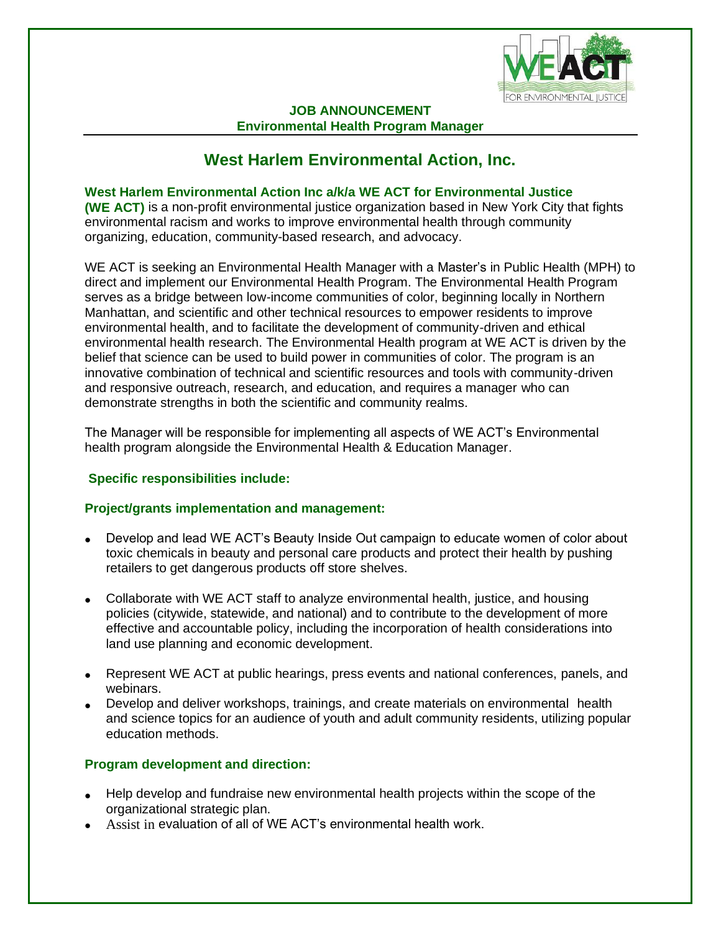

#### **JOB ANNOUNCEMENT Environmental Health Program Manager**

# **West Harlem Environmental Action, Inc.**

**West Harlem Environmental Action Inc a/k/a WE ACT for Environmental Justice (WE ACT)** is a non-profit environmental justice organization based in New York City that fights environmental racism and works to improve environmental health through community organizing, education, community-based research, and advocacy.

WE ACT is seeking an Environmental Health Manager with a Master's in Public Health (MPH) to direct and implement our Environmental Health Program. The Environmental Health Program serves as a bridge between low-income communities of color, beginning locally in Northern Manhattan, and scientific and other technical resources to empower residents to improve environmental health, and to facilitate the development of community-driven and ethical environmental health research. The Environmental Health program at WE ACT is driven by the belief that science can be used to build power in communities of color. The program is an innovative combination of technical and scientific resources and tools with community-driven and responsive outreach, research, and education, and requires a manager who can demonstrate strengths in both the scientific and community realms.

The Manager will be responsible for implementing all aspects of WE ACT's Environmental health program alongside the Environmental Health & Education Manager.

### **Specific responsibilities include:**

### **Project/grants implementation and management:**

- Develop and lead WE ACT's Beauty Inside Out campaign to educate women of color about toxic chemicals in beauty and personal care products and protect their health by pushing retailers to get dangerous products off store shelves.
- Collaborate with WE ACT staff to analyze environmental health, justice, and housing policies (citywide, statewide, and national) and to contribute to the development of more effective and accountable policy, including the incorporation of health considerations into land use planning and economic development.
- Represent WE ACT at public hearings, press events and national conferences, panels, and webinars.
- Develop and deliver workshops, trainings, and create materials on environmental health and science topics for an audience of youth and adult community residents, utilizing popular education methods.

### **Program development and direction:**

- Help develop and fundraise new environmental health projects within the scope of the organizational strategic plan.
- Assist in evaluation of all of WE ACT's environmental health work.